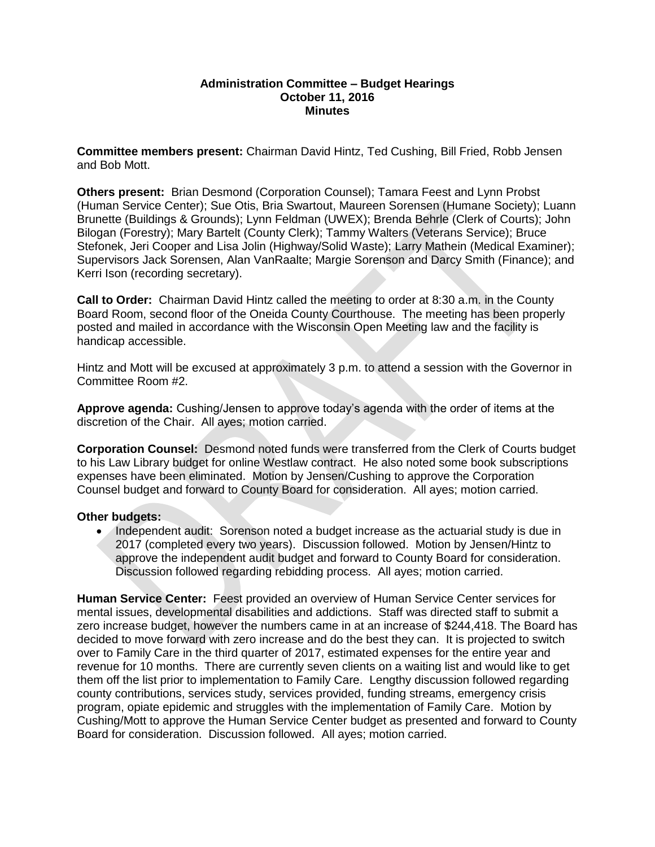### **Administration Committee – Budget Hearings October 11, 2016 Minutes**

**Committee members present:** Chairman David Hintz, Ted Cushing, Bill Fried, Robb Jensen and Bob Mott.

**Others present:** Brian Desmond (Corporation Counsel); Tamara Feest and Lynn Probst (Human Service Center); Sue Otis, Bria Swartout, Maureen Sorensen (Humane Society); Luann Brunette (Buildings & Grounds); Lynn Feldman (UWEX); Brenda Behrle (Clerk of Courts); John Bilogan (Forestry); Mary Bartelt (County Clerk); Tammy Walters (Veterans Service); Bruce Stefonek, Jeri Cooper and Lisa Jolin (Highway/Solid Waste); Larry Mathein (Medical Examiner); Supervisors Jack Sorensen, Alan VanRaalte; Margie Sorenson and Darcy Smith (Finance); and Kerri Ison (recording secretary).

**Call to Order:** Chairman David Hintz called the meeting to order at 8:30 a.m. in the County Board Room, second floor of the Oneida County Courthouse. The meeting has been properly posted and mailed in accordance with the Wisconsin Open Meeting law and the facility is handicap accessible.

Hintz and Mott will be excused at approximately 3 p.m. to attend a session with the Governor in Committee Room #2.

**Approve agenda:** Cushing/Jensen to approve today's agenda with the order of items at the discretion of the Chair. All ayes; motion carried.

**Corporation Counsel:** Desmond noted funds were transferred from the Clerk of Courts budget to his Law Library budget for online Westlaw contract. He also noted some book subscriptions expenses have been eliminated. Motion by Jensen/Cushing to approve the Corporation Counsel budget and forward to County Board for consideration. All ayes; motion carried.

# **Other budgets:**

• Independent audit: Sorenson noted a budget increase as the actuarial study is due in 2017 (completed every two years). Discussion followed. Motion by Jensen/Hintz to approve the independent audit budget and forward to County Board for consideration. Discussion followed regarding rebidding process. All ayes; motion carried.

**Human Service Center:** Feest provided an overview of Human Service Center services for mental issues, developmental disabilities and addictions. Staff was directed staff to submit a zero increase budget, however the numbers came in at an increase of \$244,418. The Board has decided to move forward with zero increase and do the best they can. It is projected to switch over to Family Care in the third quarter of 2017, estimated expenses for the entire year and revenue for 10 months. There are currently seven clients on a waiting list and would like to get them off the list prior to implementation to Family Care. Lengthy discussion followed regarding county contributions, services study, services provided, funding streams, emergency crisis program, opiate epidemic and struggles with the implementation of Family Care. Motion by Cushing/Mott to approve the Human Service Center budget as presented and forward to County Board for consideration. Discussion followed. All ayes; motion carried.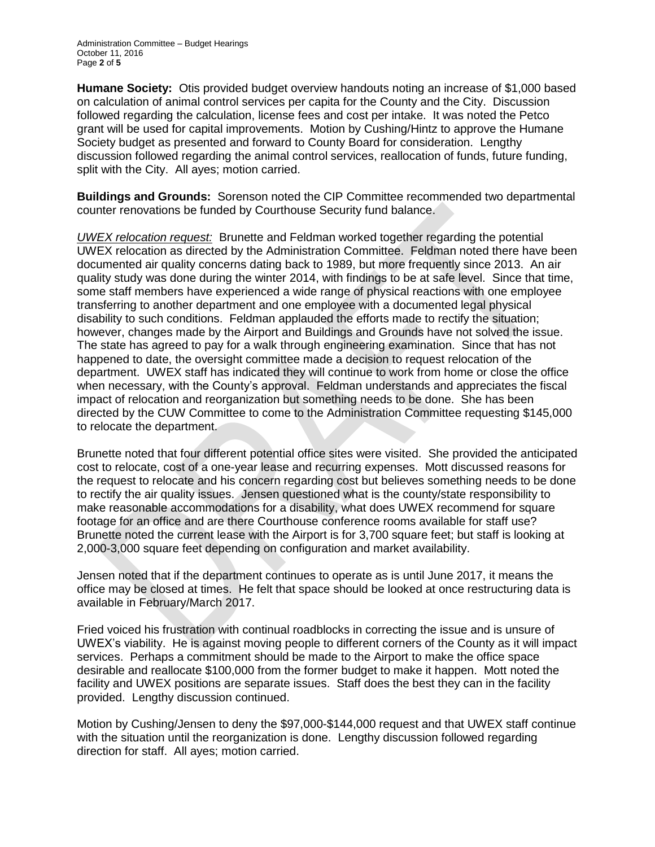**Humane Society:** Otis provided budget overview handouts noting an increase of \$1,000 based on calculation of animal control services per capita for the County and the City. Discussion followed regarding the calculation, license fees and cost per intake. It was noted the Petco grant will be used for capital improvements. Motion by Cushing/Hintz to approve the Humane Society budget as presented and forward to County Board for consideration. Lengthy discussion followed regarding the animal control services, reallocation of funds, future funding, split with the City. All ayes; motion carried.

**Buildings and Grounds:** Sorenson noted the CIP Committee recommended two departmental counter renovations be funded by Courthouse Security fund balance.

*UWEX relocation request:* Brunette and Feldman worked together regarding the potential UWEX relocation as directed by the Administration Committee. Feldman noted there have been documented air quality concerns dating back to 1989, but more frequently since 2013. An air quality study was done during the winter 2014, with findings to be at safe level. Since that time, some staff members have experienced a wide range of physical reactions with one employee transferring to another department and one employee with a documented legal physical disability to such conditions. Feldman applauded the efforts made to rectify the situation; however, changes made by the Airport and Buildings and Grounds have not solved the issue. The state has agreed to pay for a walk through engineering examination. Since that has not happened to date, the oversight committee made a decision to request relocation of the department. UWEX staff has indicated they will continue to work from home or close the office when necessary, with the County's approval. Feldman understands and appreciates the fiscal impact of relocation and reorganization but something needs to be done. She has been directed by the CUW Committee to come to the Administration Committee requesting \$145,000 to relocate the department.

Brunette noted that four different potential office sites were visited. She provided the anticipated cost to relocate, cost of a one-year lease and recurring expenses. Mott discussed reasons for the request to relocate and his concern regarding cost but believes something needs to be done to rectify the air quality issues. Jensen questioned what is the county/state responsibility to make reasonable accommodations for a disability, what does UWEX recommend for square footage for an office and are there Courthouse conference rooms available for staff use? Brunette noted the current lease with the Airport is for 3,700 square feet; but staff is looking at 2,000-3,000 square feet depending on configuration and market availability.

Jensen noted that if the department continues to operate as is until June 2017, it means the office may be closed at times. He felt that space should be looked at once restructuring data is available in February/March 2017.

Fried voiced his frustration with continual roadblocks in correcting the issue and is unsure of UWEX's viability. He is against moving people to different corners of the County as it will impact services. Perhaps a commitment should be made to the Airport to make the office space desirable and reallocate \$100,000 from the former budget to make it happen. Mott noted the facility and UWEX positions are separate issues. Staff does the best they can in the facility provided. Lengthy discussion continued.

Motion by Cushing/Jensen to deny the \$97,000-\$144,000 request and that UWEX staff continue with the situation until the reorganization is done. Lengthy discussion followed regarding direction for staff. All ayes; motion carried.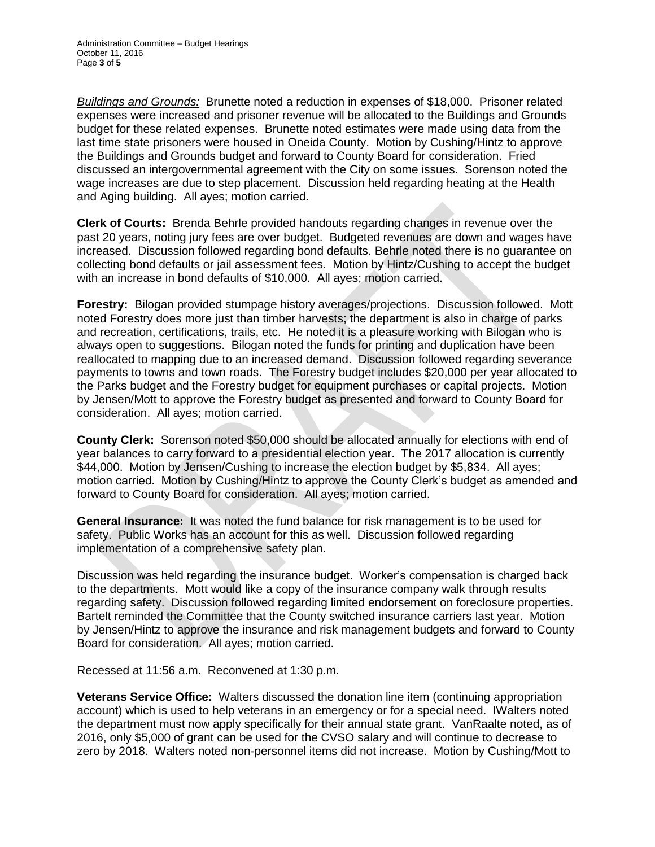*Buildings and Grounds:* Brunette noted a reduction in expenses of \$18,000. Prisoner related expenses were increased and prisoner revenue will be allocated to the Buildings and Grounds budget for these related expenses. Brunette noted estimates were made using data from the last time state prisoners were housed in Oneida County. Motion by Cushing/Hintz to approve the Buildings and Grounds budget and forward to County Board for consideration. Fried discussed an intergovernmental agreement with the City on some issues. Sorenson noted the wage increases are due to step placement. Discussion held regarding heating at the Health and Aging building. All ayes; motion carried.

**Clerk of Courts:** Brenda Behrle provided handouts regarding changes in revenue over the past 20 years, noting jury fees are over budget. Budgeted revenues are down and wages have increased. Discussion followed regarding bond defaults. Behrle noted there is no guarantee on collecting bond defaults or jail assessment fees. Motion by Hintz/Cushing to accept the budget with an increase in bond defaults of \$10,000. All ayes; motion carried.

**Forestry:** Bilogan provided stumpage history averages/projections. Discussion followed. Mott noted Forestry does more just than timber harvests; the department is also in charge of parks and recreation, certifications, trails, etc. He noted it is a pleasure working with Bilogan who is always open to suggestions. Bilogan noted the funds for printing and duplication have been reallocated to mapping due to an increased demand. Discussion followed regarding severance payments to towns and town roads. The Forestry budget includes \$20,000 per year allocated to the Parks budget and the Forestry budget for equipment purchases or capital projects. Motion by Jensen/Mott to approve the Forestry budget as presented and forward to County Board for consideration. All ayes; motion carried.

**County Clerk:** Sorenson noted \$50,000 should be allocated annually for elections with end of year balances to carry forward to a presidential election year. The 2017 allocation is currently \$44,000. Motion by Jensen/Cushing to increase the election budget by \$5,834. All ayes: motion carried. Motion by Cushing/Hintz to approve the County Clerk's budget as amended and forward to County Board for consideration. All ayes; motion carried.

**General Insurance:** It was noted the fund balance for risk management is to be used for safety. Public Works has an account for this as well. Discussion followed regarding implementation of a comprehensive safety plan.

Discussion was held regarding the insurance budget. Worker's compensation is charged back to the departments. Mott would like a copy of the insurance company walk through results regarding safety. Discussion followed regarding limited endorsement on foreclosure properties. Bartelt reminded the Committee that the County switched insurance carriers last year. Motion by Jensen/Hintz to approve the insurance and risk management budgets and forward to County Board for consideration. All ayes; motion carried.

Recessed at 11:56 a.m. Reconvened at 1:30 p.m.

**Veterans Service Office:** Walters discussed the donation line item (continuing appropriation account) which is used to help veterans in an emergency or for a special need. IWalters noted the department must now apply specifically for their annual state grant. VanRaalte noted, as of 2016, only \$5,000 of grant can be used for the CVSO salary and will continue to decrease to zero by 2018. Walters noted non-personnel items did not increase. Motion by Cushing/Mott to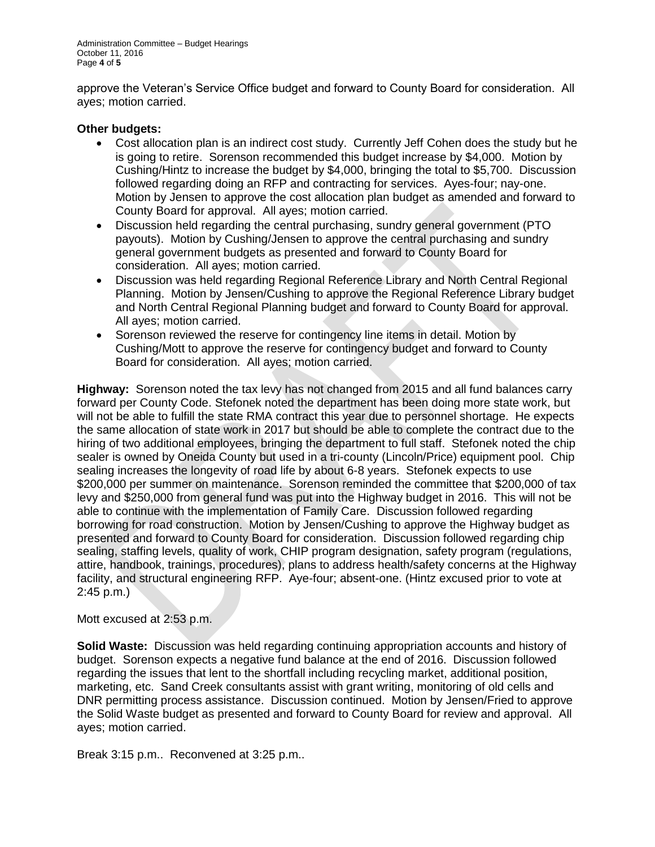Administration Committee – Budget Hearings October 11, 2016 Page **4** of **5**

approve the Veteran's Service Office budget and forward to County Board for consideration. All ayes; motion carried.

## **Other budgets:**

- Cost allocation plan is an indirect cost study. Currently Jeff Cohen does the study but he is going to retire. Sorenson recommended this budget increase by \$4,000. Motion by Cushing/Hintz to increase the budget by \$4,000, bringing the total to \$5,700. Discussion followed regarding doing an RFP and contracting for services. Ayes-four; nay-one. Motion by Jensen to approve the cost allocation plan budget as amended and forward to County Board for approval. All ayes; motion carried.
- Discussion held regarding the central purchasing, sundry general government (PTO payouts). Motion by Cushing/Jensen to approve the central purchasing and sundry general government budgets as presented and forward to County Board for consideration. All ayes; motion carried.
- Discussion was held regarding Regional Reference Library and North Central Regional Planning. Motion by Jensen/Cushing to approve the Regional Reference Library budget and North Central Regional Planning budget and forward to County Board for approval. All ayes; motion carried.
- Sorenson reviewed the reserve for contingency line items in detail. Motion by Cushing/Mott to approve the reserve for contingency budget and forward to County Board for consideration. All ayes; motion carried.

**Highway:** Sorenson noted the tax levy has not changed from 2015 and all fund balances carry forward per County Code. Stefonek noted the department has been doing more state work, but will not be able to fulfill the state RMA contract this year due to personnel shortage. He expects the same allocation of state work in 2017 but should be able to complete the contract due to the hiring of two additional employees, bringing the department to full staff. Stefonek noted the chip sealer is owned by Oneida County but used in a tri-county (Lincoln/Price) equipment pool. Chip sealing increases the longevity of road life by about 6-8 years. Stefonek expects to use \$200,000 per summer on maintenance. Sorenson reminded the committee that \$200,000 of tax levy and \$250,000 from general fund was put into the Highway budget in 2016. This will not be able to continue with the implementation of Family Care. Discussion followed regarding borrowing for road construction. Motion by Jensen/Cushing to approve the Highway budget as presented and forward to County Board for consideration. Discussion followed regarding chip sealing, staffing levels, quality of work, CHIP program designation, safety program (regulations, attire, handbook, trainings, procedures), plans to address health/safety concerns at the Highway facility, and structural engineering RFP. Aye-four; absent-one. (Hintz excused prior to vote at 2:45 p.m.)

## Mott excused at 2:53 p.m.

**Solid Waste:** Discussion was held regarding continuing appropriation accounts and history of budget. Sorenson expects a negative fund balance at the end of 2016. Discussion followed regarding the issues that lent to the shortfall including recycling market, additional position, marketing, etc. Sand Creek consultants assist with grant writing, monitoring of old cells and DNR permitting process assistance. Discussion continued. Motion by Jensen/Fried to approve the Solid Waste budget as presented and forward to County Board for review and approval. All ayes; motion carried.

Break 3:15 p.m.. Reconvened at 3:25 p.m..